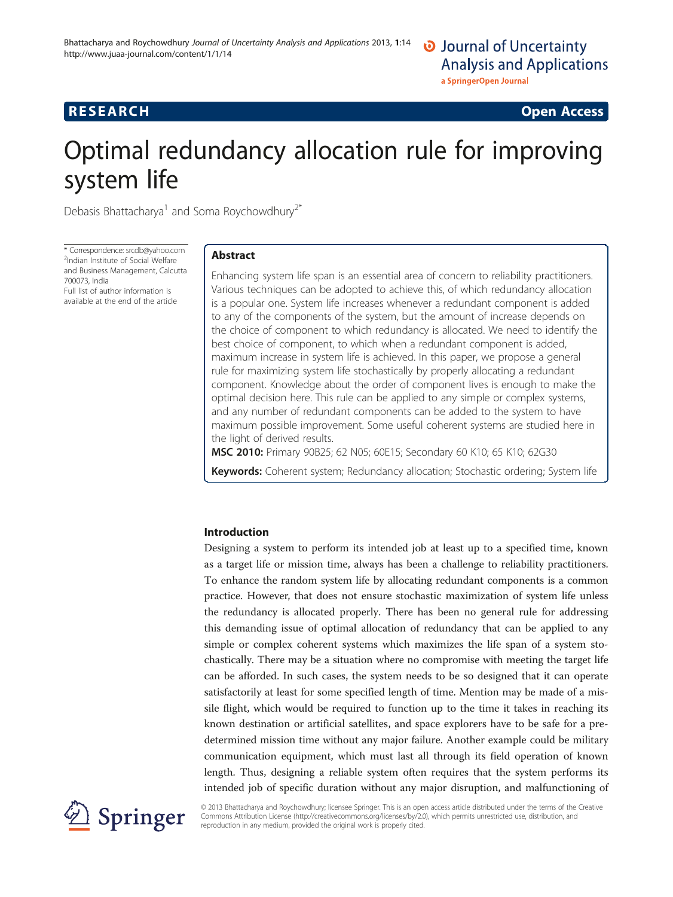## **RESEARCH CHINESE ARCH CHINESE ARCH CHINESE ARCH**

# Optimal redundancy allocation rule for improving system life

Debasis Bhattacharya<sup>1</sup> and Soma Roychowdhury<sup>2\*</sup>

\* Correspondence: [srcdb@yahoo.com](mailto:srcdb@yahoo.com) <sup>2</sup> <sup>2</sup>Indian Institute of Social Welfare and Business Management, Calcutta 700073, India Full list of author information is

available at the end of the article

## Abstract

Enhancing system life span is an essential area of concern to reliability practitioners. Various techniques can be adopted to achieve this, of which redundancy allocation is a popular one. System life increases whenever a redundant component is added to any of the components of the system, but the amount of increase depends on the choice of component to which redundancy is allocated. We need to identify the best choice of component, to which when a redundant component is added, maximum increase in system life is achieved. In this paper, we propose a general rule for maximizing system life stochastically by properly allocating a redundant component. Knowledge about the order of component lives is enough to make the optimal decision here. This rule can be applied to any simple or complex systems, and any number of redundant components can be added to the system to have maximum possible improvement. Some useful coherent systems are studied here in the light of derived results.

MSC 2010: Primary 90B25; 62 N05; 60E15; Secondary 60 K10; 65 K10; 62G30

Keywords: Coherent system; Redundancy allocation; Stochastic ordering; System life

## Introduction

Designing a system to perform its intended job at least up to a specified time, known as a target life or mission time, always has been a challenge to reliability practitioners. To enhance the random system life by allocating redundant components is a common practice. However, that does not ensure stochastic maximization of system life unless the redundancy is allocated properly. There has been no general rule for addressing this demanding issue of optimal allocation of redundancy that can be applied to any simple or complex coherent systems which maximizes the life span of a system stochastically. There may be a situation where no compromise with meeting the target life can be afforded. In such cases, the system needs to be so designed that it can operate satisfactorily at least for some specified length of time. Mention may be made of a missile flight, which would be required to function up to the time it takes in reaching its known destination or artificial satellites, and space explorers have to be safe for a predetermined mission time without any major failure. Another example could be military communication equipment, which must last all through its field operation of known length. Thus, designing a reliable system often requires that the system performs its intended job of specific duration without any major disruption, and malfunctioning of



© 2013 Bhattacharya and Roychowdhury; licensee Springer. This is an open access article distributed under the terms of the Creative Commons Attribution License (<http://creativecommons.org/licenses/by/2.0>), which permits unrestricted use, distribution, and reproduction in any medium, provided the original work is properly cited.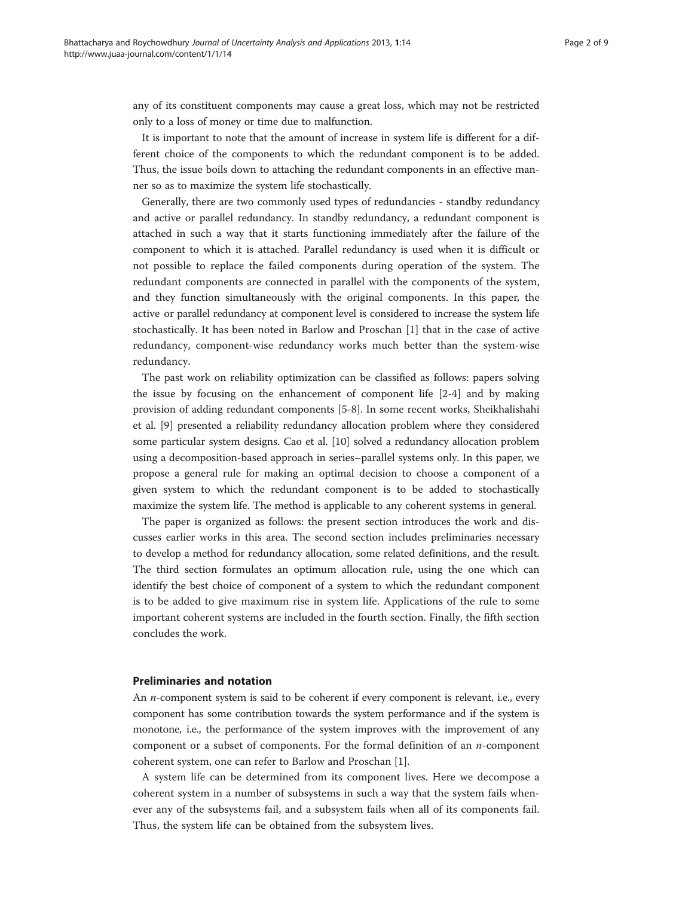any of its constituent components may cause a great loss, which may not be restricted only to a loss of money or time due to malfunction.

It is important to note that the amount of increase in system life is different for a different choice of the components to which the redundant component is to be added. Thus, the issue boils down to attaching the redundant components in an effective manner so as to maximize the system life stochastically.

Generally, there are two commonly used types of redundancies - standby redundancy and active or parallel redundancy. In standby redundancy, a redundant component is attached in such a way that it starts functioning immediately after the failure of the component to which it is attached. Parallel redundancy is used when it is difficult or not possible to replace the failed components during operation of the system. The redundant components are connected in parallel with the components of the system, and they function simultaneously with the original components. In this paper, the active or parallel redundancy at component level is considered to increase the system life stochastically. It has been noted in Barlow and Proschan [[1\]](#page-8-0) that in the case of active redundancy, component-wise redundancy works much better than the system-wise redundancy.

The past work on reliability optimization can be classified as follows: papers solving the issue by focusing on the enhancement of component life [[2-4\]](#page-8-0) and by making provision of adding redundant components [\[5](#page-8-0)-[8\]](#page-8-0). In some recent works, Sheikhalishahi et al. [\[9](#page-8-0)] presented a reliability redundancy allocation problem where they considered some particular system designs. Cao et al. [[10\]](#page-8-0) solved a redundancy allocation problem using a decomposition-based approach in series–parallel systems only. In this paper, we propose a general rule for making an optimal decision to choose a component of a given system to which the redundant component is to be added to stochastically maximize the system life. The method is applicable to any coherent systems in general.

The paper is organized as follows: the present section introduces the work and discusses earlier works in this area. The second section includes preliminaries necessary to develop a method for redundancy allocation, some related definitions, and the result. The third section formulates an optimum allocation rule, using the one which can identify the best choice of component of a system to which the redundant component is to be added to give maximum rise in system life. Applications of the rule to some important coherent systems are included in the fourth section. Finally, the fifth section concludes the work.

### Preliminaries and notation

An *n*-component system is said to be coherent if every component is relevant, i.e., every component has some contribution towards the system performance and if the system is monotone, i.e., the performance of the system improves with the improvement of any component or a subset of components. For the formal definition of an  $n$ -component coherent system, one can refer to Barlow and Proschan [\[1](#page-8-0)].

A system life can be determined from its component lives. Here we decompose a coherent system in a number of subsystems in such a way that the system fails whenever any of the subsystems fail, and a subsystem fails when all of its components fail. Thus, the system life can be obtained from the subsystem lives.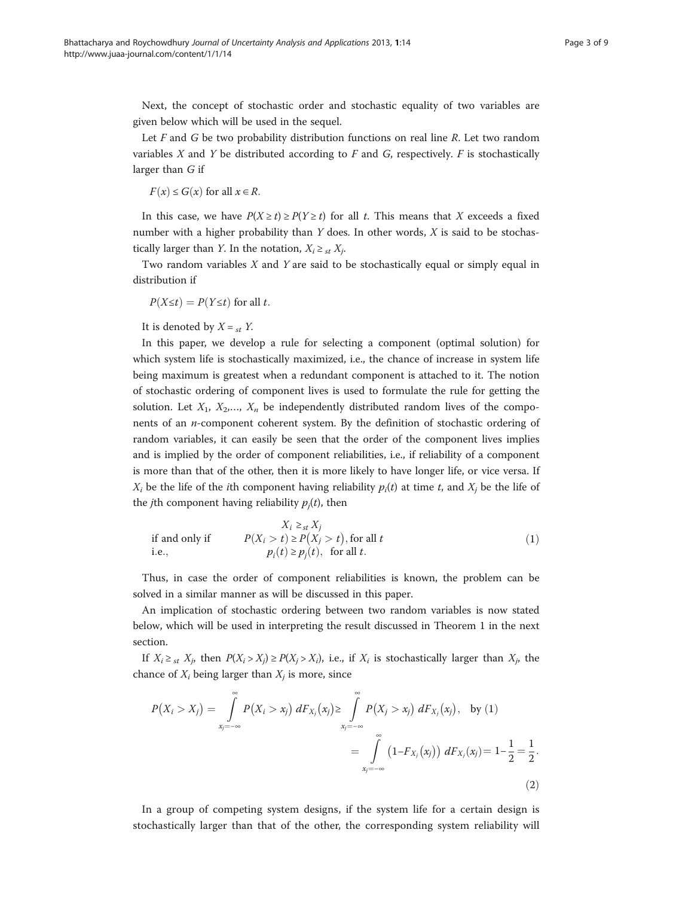<span id="page-2-0"></span>Next, the concept of stochastic order and stochastic equality of two variables are given below which will be used in the sequel.

Let  $F$  and  $G$  be two probability distribution functions on real line  $R$ . Let two random variables  $X$  and  $Y$  be distributed according to  $F$  and  $G$ , respectively.  $F$  is stochastically larger than G if

$$
F(x) \le G(x) \text{ for all } x \in R.
$$

In this case, we have  $P(X \ge t) \ge P(Y \ge t)$  for all t. This means that X exceeds a fixed number with a higher probability than  $Y$  does. In other words,  $X$  is said to be stochastically larger than *Y*. In the notation,  $X_i \geq_{st} X_j$ .

Two random variables  $X$  and  $Y$  are said to be stochastically equal or simply equal in distribution if

$$
P(X \le t) = P(Y \le t) \text{ for all } t.
$$

It is denoted by  $X =_{st} Y$ .

In this paper, we develop a rule for selecting a component (optimal solution) for which system life is stochastically maximized, i.e., the chance of increase in system life being maximum is greatest when a redundant component is attached to it. The notion of stochastic ordering of component lives is used to formulate the rule for getting the solution. Let  $X_1, X_2, ..., X_n$  be independently distributed random lives of the components of an n-component coherent system. By the definition of stochastic ordering of random variables, it can easily be seen that the order of the component lives implies and is implied by the order of component reliabilities, i.e., if reliability of a component is more than that of the other, then it is more likely to have longer life, or vice versa. If  $X_i$  be the life of the *i*th component having reliability  $p_i(t)$  at time t, and  $X_i$  be the life of the *j*th component having reliability  $p_i(t)$ , then

if and only if 
$$
X_i \geq_{st} X_j
$$
  
i.e., 
$$
P(X_i > t) \geq P(X_j > t), \text{ for all } t
$$

$$
p_i(t) \geq p_j(t), \text{ for all } t.
$$
 (1)

Thus, in case the order of component reliabilities is known, the problem can be solved in a similar manner as will be discussed in this paper.

An implication of stochastic ordering between two random variables is now stated below, which will be used in interpreting the result discussed in Theorem [1](#page-4-0) in the next section.

If  $X_i \geq_{st} X_j$ , then  $P(X_i > X_j) \geq P(X_i > X_i)$ , i.e., if  $X_i$  is stochastically larger than  $X_i$ , the chance of  $X_i$  being larger than  $X_i$  is more, since

$$
P(X_i > X_j) = \int_{x_j = -\infty}^{\infty} P(X_i > x_j) dF_{X_j}(x_j) \ge \int_{x_j = -\infty}^{\infty} P(X_j > x_j) dF_{X_j}(x_j), \text{ by (1)}
$$
  
= 
$$
\int_{x_j = -\infty}^{\infty} (1 - F_{X_j}(x_j)) dF_{X_j}(x_j) = 1 - \frac{1}{2} = \frac{1}{2}.
$$
 (2)

In a group of competing system designs, if the system life for a certain design is stochastically larger than that of the other, the corresponding system reliability will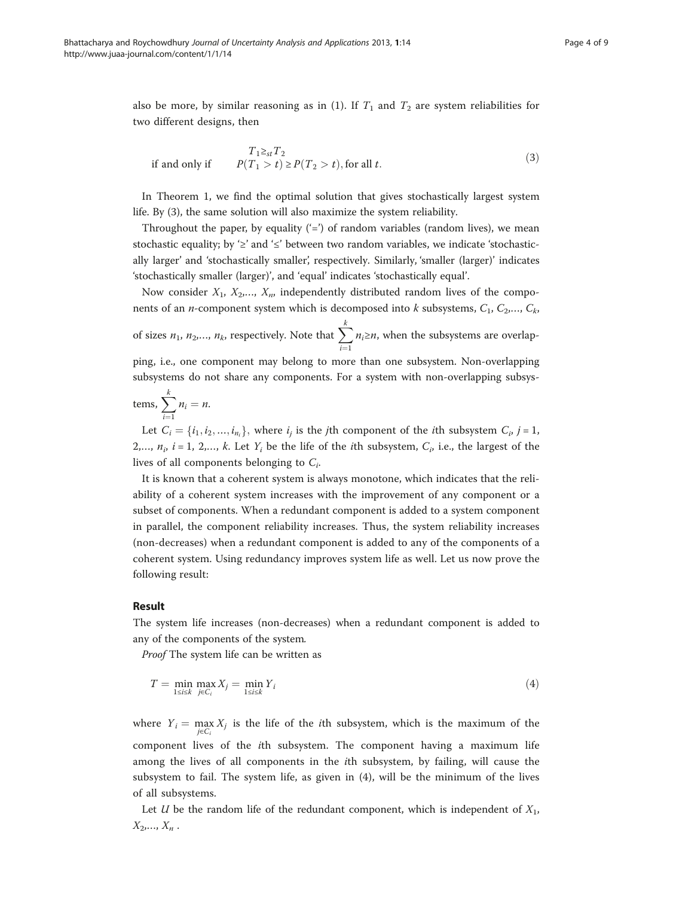<span id="page-3-0"></span>also be more, by similar reasoning as in [\(1](#page-2-0)). If  $T_1$  and  $T_2$  are system reliabilities for two different designs, then

if and only if 
$$
T_1 \geq_{st} T_2
$$

$$
P(T_1 > t) \geq P(T_2 > t), \text{ for all } t.
$$
 (3)

In Theorem [1](#page-4-0), we find the optimal solution that gives stochastically largest system life. By (3), the same solution will also maximize the system reliability.

Throughout the paper, by equality  $(')$  of random variables (random lives), we mean stochastic equality; by ' $\geq$ ' and ' $\leq$ ' between two random variables, we indicate 'stochastically larger' and 'stochastically smaller', respectively. Similarly, 'smaller (larger)' indicates 'stochastically smaller (larger)', and 'equal' indicates 'stochastically equal'.

Now consider  $X_1$ ,  $X_2,..., X_n$ , independently distributed random lives of the components of an *n*-component system which is decomposed into *k* subsystems,  $C_1$ ,  $C_2$ ,...,  $C_k$ , of sizes  $n_1$ ,  $n_2$ ,...,  $n_k$ , respectively. Note that  $\sum$ k  $\frac{i-1}{1}$  $n_i \geq n$ , when the subsystems are overlapping, i.e., one component may belong to more than one subsystem. Non-overlapping

subsystems do not share any components. For a system with non-overlapping subsys-

$$
tems, \sum_{i=1}^{k} n_i = n.
$$

Let  $C_i = \{i_1, i_2, ..., i_{n_i}\}\)$ , where  $i_j$  is the jth component of the *i*th subsystem  $C_i$ ,  $j = 1$ , 2,...,  $n_i$ ,  $i = 1, 2,..., k$ . Let  $Y_i$  be the life of the *i*th subsystem,  $C_i$ , i.e., the largest of the lives of all components belonging to  $C_i$ .

It is known that a coherent system is always monotone, which indicates that the reliability of a coherent system increases with the improvement of any component or a subset of components. When a redundant component is added to a system component in parallel, the component reliability increases. Thus, the system reliability increases (non-decreases) when a redundant component is added to any of the components of a coherent system. Using redundancy improves system life as well. Let us now prove the following result:

## Result

The system life increases (non-decreases) when a redundant component is added to any of the components of the system.

Proof The system life can be written as

$$
T = \min_{1 \le i \le k} \max_{j \in C_i} X_j = \min_{1 \le i \le k} Y_i \tag{4}
$$

where  $Y_i = \max_{j \in C_i} X_j$  is the life of the *i*th subsystem, which is the maximum of the component lives of the ith subsystem. The component having a maximum life among the lives of all components in the ith subsystem, by failing, will cause the subsystem to fail. The system life, as given in (4), will be the minimum of the lives of all subsystems.

Let U be the random life of the redundant component, which is independent of  $X_1$ ,  $X_2, ..., X_n$ .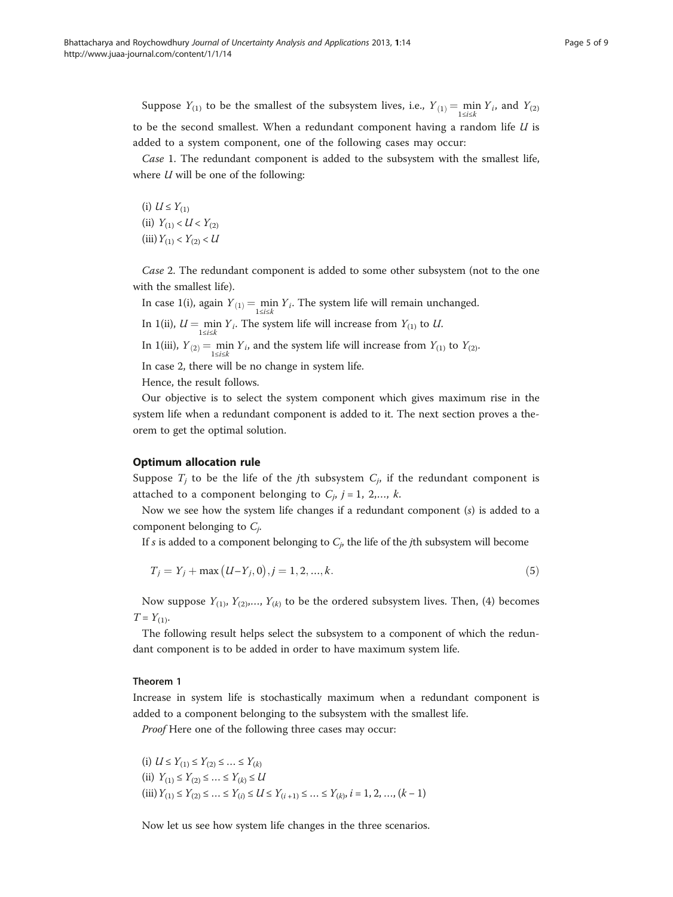<span id="page-4-0"></span>Suppose  $Y_{(1)}$  to be the smallest of the subsystem lives, i.e.,  $Y_{(1)} = \min_{1 \le i \le k} Y_i$ , and  $Y_{(2)}$ to be the second smallest. When a redundant component having a random life  $U$  is added to a system component, one of the following cases may occur:

Case 1. The redundant component is added to the subsystem with the smallest life, where  $U$  will be one of the following:

(i)  $U \leq Y_{(1)}$ (ii)  $Y_{(1)} < U < Y_{(2)}$ (iii)  $Y_{(1)} < Y_{(2)} < U$ 

Case 2. The redundant component is added to some other subsystem (not to the one with the smallest life).

In case 1(i), again  $Y_{(1)} = \min_{1 \le i \le k} Y_i$ . The system life will remain unchanged.

In 1(ii),  $U = \min_{1 \le i \le k} Y_i$ . The system life will increase from  $Y_{(1)}$  to U.

In 1(iii),  $Y_{(2)} = \min_{1 \le i \le k} Y_i$ , and the system life will increase from  $Y_{(1)}$  to  $Y_{(2)}$ .

In case 2, there will be no change in system life.

Hence, the result follows.

Our objective is to select the system component which gives maximum rise in the system life when a redundant component is added to it. The next section proves a theorem to get the optimal solution.

## Optimum allocation rule

Suppose  $T_i$  to be the life of the *j*th subsystem  $C_i$ , if the redundant component is attached to a component belonging to  $C_j$ ,  $j = 1, 2,..., k$ .

Now we see how the system life changes if a redundant component  $(s)$  is added to a component belonging to  $C_i$ .

If s is added to a component belonging to  $C_p$ , the life of the jth subsystem will become

$$
T_j = Y_j + \max (U - Y_j, 0), j = 1, 2, ..., k.
$$
\n(5)

Now suppose  $Y_{(1)}, Y_{(2)},..., Y_{(k)}$  to be the ordered subsystem lives. Then, ([4](#page-3-0)) becomes  $T = Y_{(1)}$ .

The following result helps select the subsystem to a component of which the redundant component is to be added in order to have maximum system life.

## Theorem 1

Increase in system life is stochastically maximum when a redundant component is added to a component belonging to the subsystem with the smallest life.

Proof Here one of the following three cases may occur:

(i) 
$$
U \le Y_{(1)} \le Y_{(2)} \le ... \le Y_{(k)}
$$
  
\n(ii)  $Y_{(1)} \le Y_{(2)} \le ... \le Y_{(k)} \le U$   
\n(iii)  $Y_{(1)} \le Y_{(2)} \le ... \le Y_{(i)} \le U \le Y_{(i+1)} \le ... \le Y_{(k)}, i = 1, 2, ..., (k-1)$ 

Now let us see how system life changes in the three scenarios.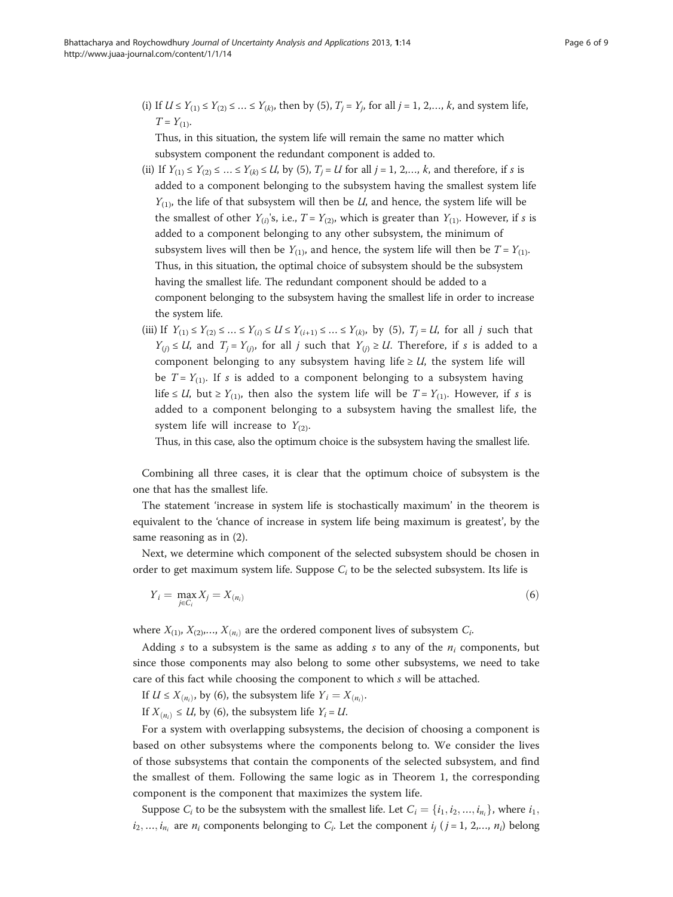(i) If  $U \le Y_{(1)} \le Y_{(2)} \le ... \le Y_{(k)}$ , then by ([5\)](#page-4-0),  $T_i = Y_i$ , for all  $j = 1, 2, ..., k$ , and system life,  $T = Y_{(1)}$ .

Thus, in this situation, the system life will remain the same no matter which subsystem component the redundant component is added to.

- (ii) If  $Y_{(1)} \le Y_{(2)} \le ... \le Y_{(k)} \le U$ , by ([5](#page-4-0)),  $T_j = U$  for all  $j = 1, 2,..., k$ , and therefore, if s is added to a component belonging to the subsystem having the smallest system life  $Y_{(1)}$ , the life of that subsystem will then be U, and hence, the system life will be the smallest of other  $Y_{(i)}$ 's, i.e.,  $T = Y_{(2)}$ , which is greater than  $Y_{(1)}$ . However, if s is added to a component belonging to any other subsystem, the minimum of subsystem lives will then be  $Y_{(1)}$ , and hence, the system life will then be  $T = Y_{(1)}$ . Thus, in this situation, the optimal choice of subsystem should be the subsystem having the smallest life. The redundant component should be added to a component belonging to the subsystem having the smallest life in order to increase the system life.
- (iii) If  $Y_{(1)} \leq Y_{(2)} \leq ... \leq Y_{(i)} \leq U \leq Y_{(i+1)} \leq ... \leq Y_{(k)}$ , by (5),  $T_i = U$ , for all j such that  $Y_{(i)} \leq U$ , and  $T_i = Y_{(i)}$ , for all j such that  $Y_{(i)} \geq U$ . Therefore, if s is added to a component belonging to any subsystem having life  $\geq U$ , the system life will be  $T = Y_{(1)}$ . If s is added to a component belonging to a subsystem having life ≤ U, but ≥  $Y_{(1)}$ , then also the system life will be  $T = Y_{(1)}$ . However, if s is added to a component belonging to a subsystem having the smallest life, the system life will increase to  $Y_{(2)}$ .

Thus, in this case, also the optimum choice is the subsystem having the smallest life.

Combining all three cases, it is clear that the optimum choice of subsystem is the one that has the smallest life.

The statement 'increase in system life is stochastically maximum' in the theorem is equivalent to the 'chance of increase in system life being maximum is greatest', by the same reasoning as in [\(2](#page-2-0)).

Next, we determine which component of the selected subsystem should be chosen in order to get maximum system life. Suppose  $C_i$  to be the selected subsystem. Its life is

$$
Y_i = \max_{j \in C_i} X_j = X_{(n_i)} \tag{6}
$$

where  $X_{(1)}$ ,  $X_{(2)}$ ,...,  $X_{(n_i)}$  are the ordered component lives of subsystem  $C_i$ .

Adding s to a subsystem is the same as adding s to any of the  $n_i$  components, but since those components may also belong to some other subsystems, we need to take care of this fact while choosing the component to which s will be attached.

If  $U \leq X_{(n_i)}$ , by (6), the subsystem life  $Y_i = X_{(n_i)}$ .

If  $X_{(n_i)} \leq U$ , by (6), the subsystem life  $Y_i = U$ .

For a system with overlapping subsystems, the decision of choosing a component is based on other subsystems where the components belong to. We consider the lives of those subsystems that contain the components of the selected subsystem, and find the smallest of them. Following the same logic as in Theorem [1](#page-4-0), the corresponding component is the component that maximizes the system life.

Suppose  $C_i$  to be the subsystem with the smallest life. Let  $C_i = \{i_1, i_2, ..., i_n\}$ , where  $i_1$ ,  $i_2, ..., i_{n_i}$  are  $n_i$  components belonging to  $C_i$ . Let the component  $i_j$  ( $j = 1, 2, ..., n_i$ ) belong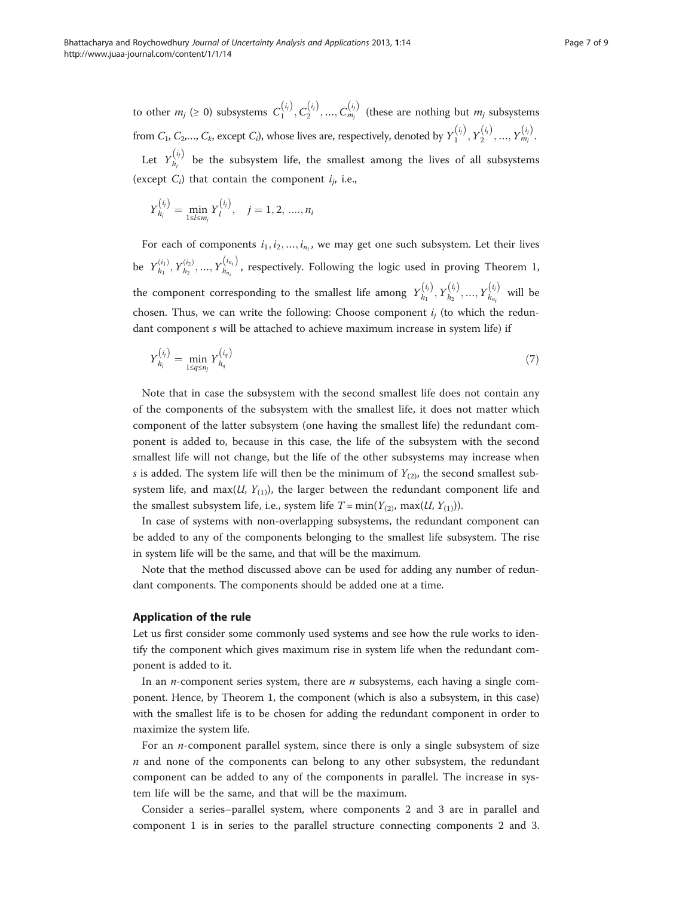<span id="page-6-0"></span>to other  $m_j$  (≥ 0) subsystems  $C_1^{(i_j)}, C_2^{(i_j)}, ..., C_{m_j}^{(i_j)}$  (these are nothing but  $m_j$  subsystems from  $C_1, C_2,..., C_k$ , except  $C_i$ ), whose lives are, respectively, denoted by  $Y_1^{(i_j)}, Y_2^{(i_j)}, ..., Y_{m_j}^{(i_j)}$ . Let  $Y_{h_i}^{(i_j)}$  be the subsystem life, the smallest among the lives of all subsystems (except  $C_i$ ) that contain the component  $i_j$ , i.e.,

$$
Y_{h_j}^{(i_j)} = \min_{1 \leq l \leq m_j} Y_l^{(i_j)}, \quad j = 1, 2, ..., n_i
$$

For each of components  $i_1, i_2, ..., i_{n_i}$ , we may get one such subsystem. Let their lives be  $Y_{h_1}^{(i_1)}, Y_{h_2}^{(i_2)},..., Y_{h_{n_i}}^{(i_{n_i})}$ , respectively. Following the logic used in proving Theorem 1, the component corresponding to the smallest life among  $Y_{h_1}^{(i)}, Y_{h_2}^{(i)}, ..., Y_{h_{n_i}}^{(i)}$  will be chosen. Thus, we can write the following: Choose component  $i_i$  (to which the redundant component s will be attached to achieve maximum increase in system life) if

$$
Y_{h_j}^{(i_j)} = \min_{1 \le q \le n_j} Y_{h_q}^{(i_q)}
$$
\n(7)

Note that in case the subsystem with the second smallest life does not contain any of the components of the subsystem with the smallest life, it does not matter which component of the latter subsystem (one having the smallest life) the redundant component is added to, because in this case, the life of the subsystem with the second smallest life will not change, but the life of the other subsystems may increase when s is added. The system life will then be the minimum of  $Y_{(2)}$ , the second smallest subsystem life, and max( $U$ ,  $Y$ <sub>(1)</sub>), the larger between the redundant component life and the smallest subsystem life, i.e., system life  $T = min(Y_{(2)}, max(U, Y_{(1)})).$ 

In case of systems with non-overlapping subsystems, the redundant component can be added to any of the components belonging to the smallest life subsystem. The rise in system life will be the same, and that will be the maximum.

Note that the method discussed above can be used for adding any number of redundant components. The components should be added one at a time.

#### Application of the rule

Let us first consider some commonly used systems and see how the rule works to identify the component which gives maximum rise in system life when the redundant component is added to it.

In an *n*-component series system, there are  $n$  subsystems, each having a single component. Hence, by Theorem 1, the component (which is also a subsystem, in this case) with the smallest life is to be chosen for adding the redundant component in order to maximize the system life.

For an  $n$ -component parallel system, since there is only a single subsystem of size  $n$  and none of the components can belong to any other subsystem, the redundant component can be added to any of the components in parallel. The increase in system life will be the same, and that will be the maximum.

Consider a series–parallel system, where components 2 and 3 are in parallel and component 1 is in series to the parallel structure connecting components 2 and 3.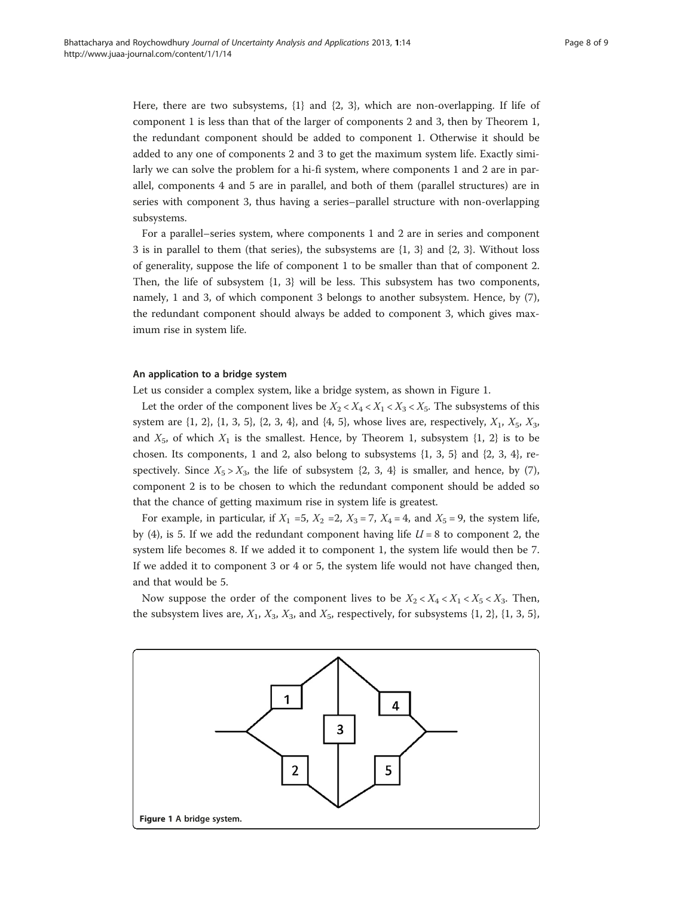Here, there are two subsystems, {1} and {2, 3}, which are non-overlapping. If life of component 1 is less than that of the larger of components 2 and 3, then by Theorem [1](#page-4-0), the redundant component should be added to component 1. Otherwise it should be added to any one of components 2 and 3 to get the maximum system life. Exactly similarly we can solve the problem for a hi-fi system, where components 1 and 2 are in parallel, components 4 and 5 are in parallel, and both of them (parallel structures) are in series with component 3, thus having a series–parallel structure with non-overlapping subsystems.

For a parallel–series system, where components 1 and 2 are in series and component 3 is in parallel to them (that series), the subsystems are {1, 3} and {2, 3}. Without loss of generality, suppose the life of component 1 to be smaller than that of component 2. Then, the life of subsystem {1, 3} will be less. This subsystem has two components, namely, 1 and 3, of which component 3 belongs to another subsystem. Hence, by [\(7](#page-6-0)), the redundant component should always be added to component 3, which gives maximum rise in system life.

## An application to a bridge system

Let us consider a complex system, like a bridge system, as shown in Figure 1.

Let the order of the component lives be  $X_2 < X_4 < X_1 < X_3 < X_5$ . The subsystems of this system are  $\{1, 2\}$ ,  $\{1, 3, 5\}$ ,  $\{2, 3, 4\}$ , and  $\{4, 5\}$ , whose lives are, respectively,  $X_1$ ,  $X_5$ ,  $X_3$ , and  $X_5$ , of which  $X_1$  is the smallest. Hence, by Theorem [1,](#page-4-0) subsystem  $\{1, 2\}$  is to be chosen. Its components, 1 and 2, also belong to subsystems  $\{1, 3, 5\}$  and  $\{2, 3, 4\}$ , respectively. Since  $X_5 > X_3$ , the life of subsystem  $\{2, 3, 4\}$  is smaller, and hence, by [\(7](#page-6-0)), component 2 is to be chosen to which the redundant component should be added so that the chance of getting maximum rise in system life is greatest.

For example, in particular, if  $X_1 = 5$ ,  $X_2 = 2$ ,  $X_3 = 7$ ,  $X_4 = 4$ , and  $X_5 = 9$ , the system life, by ([4\)](#page-3-0), is 5. If we add the redundant component having life  $U = 8$  to component 2, the system life becomes 8. If we added it to component 1, the system life would then be 7. If we added it to component 3 or 4 or 5, the system life would not have changed then, and that would be 5.

Now suppose the order of the component lives to be  $X_2 < X_4 < X_1 < X_5 < X_3$ . Then, the subsystem lives are,  $X_1$ ,  $X_3$ ,  $X_3$ , and  $X_5$ , respectively, for subsystems {1, 2}, {1, 3, 5},